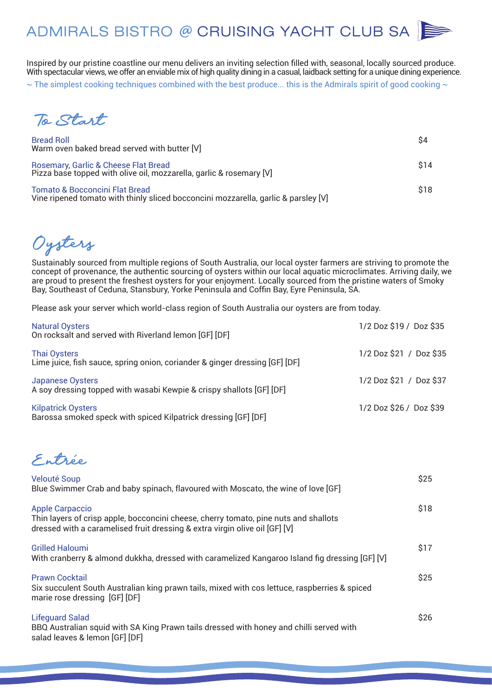Inspired by our pristine coastline our menu delivers an inviting selection filled with, seasonal, locally sourced produce. With spectacular views, we offer an enviable mix of high quality dining in a casual, laidback setting for a unique dining experience.  $\sim$  The simplest cooking techniques combined with the best produce... this is the Admirals spirit of good cooking  $\sim$ 

*To Start*

| <b>Bread Roll</b><br>Warm oven baked bread served with butter [V]                                                               | S4   |
|---------------------------------------------------------------------------------------------------------------------------------|------|
| Rosemary, Garlic & Cheese Flat Bread<br>Pizza base topped with olive oil, mozzarella, garlic & rosemary [V]                     | \$14 |
| <b>Tomato &amp; Bocconcini Flat Bread</b><br>Vine ripened tomato with thinly sliced bocconcini mozzarella, garlic & parsley [V] | \$18 |

*Oysters*

Sustainably sourced from multiple regions of South Australia, our local oyster farmers are striving to promote the concept of provenance, the authentic sourcing of oysters within our local aquatic microclimates. Arriving daily, we are proud to present the freshest oysters for your enjoyment. Locally sourced from the pristine waters of Smoky Bay, Southeast of Ceduna, Stansbury, Yorke Peninsula and Coffin Bay, Eyre Peninsula, SA.

Please ask your server which world-class region of South Australia our oysters are from today.

| <b>Natural Oysters</b><br>On rocksalt and served with Riverland lemon [GF] [DF]                    | 1/2 Doz \$19 / Doz \$35 |
|----------------------------------------------------------------------------------------------------|-------------------------|
| <b>Thai Oysters</b><br>Lime juice, fish sauce, spring onion, coriander & ginger dressing [GF] [DF] | 1/2 Doz \$21 / Doz \$35 |
| Japanese Oysters<br>A soy dressing topped with wasabi Kewpie & crispy shallots [GF] [DF]           | 1/2 Doz \$21 / Doz \$37 |
| <b>Kilpatrick Oysters</b><br>Barossa smoked speck with spiced Kilpatrick dressing [GF] [DF]        | 1/2 Doz \$26 / Doz \$39 |

*Entrée*

| <b>Velouté Soup</b><br>Blue Swimmer Crab and baby spinach, flavoured with Moscato, the wine of love [GF]                                                                                      | \$25 |
|-----------------------------------------------------------------------------------------------------------------------------------------------------------------------------------------------|------|
| <b>Apple Carpaccio</b><br>Thin layers of crisp apple, bocconcini cheese, cherry tomato, pine nuts and shallots<br>dressed with a caramelised fruit dressing & extra virgin olive oil [GF] [V] | \$18 |
| <b>Grilled Haloumi</b><br>With cranberry & almond dukkha, dressed with caramelized Kangaroo Island fig dressing [GF] [V]                                                                      | \$17 |
| <b>Prawn Cocktail</b><br>Six succulent South Australian king prawn tails, mixed with cos lettuce, raspberries & spiced<br>marie rose dressing [GF] [DF]                                       | \$25 |
| <b>Lifequard Salad</b><br>BBQ Australian squid with SA King Prawn tails dressed with honey and chilli served with<br>salad leaves & lemon [GF] [DF]                                           | \$26 |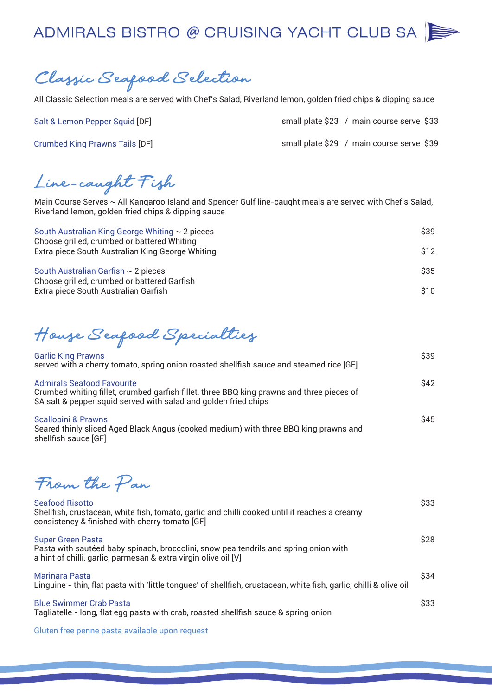

*Classic Seafood Selection*

All Classic Selection meals are served with Chef's Salad, Riverland lemon, golden fried chips & dipping sauce

Salt & Lemon Pepper Squid [DF]

Crumbed King Prawns Tails [DF]

|  | small plate \$23 / main course serve \$33 |  |
|--|-------------------------------------------|--|
|  | small plate \$29 / main course serve \$39 |  |

*Line -caught Fish*

Main Course Serves ~ All Kangaroo Island and Spencer Gulf line-caught meals are served with Chef's Salad, Riverland lemon, golden fried chips & dipping sauce

| South Australian King George Whiting $\sim$ 2 pieces<br>Choose grilled, crumbed or battered Whiting | \$39 |
|-----------------------------------------------------------------------------------------------------|------|
| Extra piece South Australian King George Whiting                                                    | \$12 |
| South Australian Garfish $\sim$ 2 pieces<br>Choose grilled, crumbed or battered Garfish             | \$35 |
| Extra piece South Australian Garfish                                                                | \$10 |

*House Seafood Specialties*

| <b>Garlic King Prawns</b><br>served with a cherry tomato, spring onion roasted shellfish sauce and steamed rice [GF]                                                                              | \$39        |
|---------------------------------------------------------------------------------------------------------------------------------------------------------------------------------------------------|-------------|
| <b>Admirals Seafood Favourite</b><br>Crumbed whiting fillet, crumbed garfish fillet, three BBQ king prawns and three pieces of<br>SA salt & pepper squid served with salad and golden fried chips | \$42        |
| <b>Scallopini &amp; Prawns</b><br>Seared thinly sliced Aged Black Angus (cooked medium) with three BBQ king prawns and                                                                            | <b>\$45</b> |

*From the Pan*

shellfish sauce [GF]

| <b>Seafood Risotto</b><br>Shellfish, crustacean, white fish, tomato, garlic and chilli cooked until it reaches a creamy<br>consistency & finished with cherry tomato [GF]           | \$33 |
|-------------------------------------------------------------------------------------------------------------------------------------------------------------------------------------|------|
| <b>Super Green Pasta</b><br>Pasta with sautéed baby spinach, broccolini, snow pea tendrils and spring onion with<br>a hint of chilli, garlic, parmesan & extra virgin olive oil [V] | \$28 |
| Marinara Pasta<br>Linguine - thin, flat pasta with 'little tongues' of shellfish, crustacean, white fish, garlic, chilli & olive oil                                                | \$34 |
| <b>Blue Swimmer Crab Pasta</b><br>Tagliatelle - long, flat egg pasta with crab, roasted shellfish sauce & spring onion                                                              | \$33 |

Gluten free penne pasta available upon request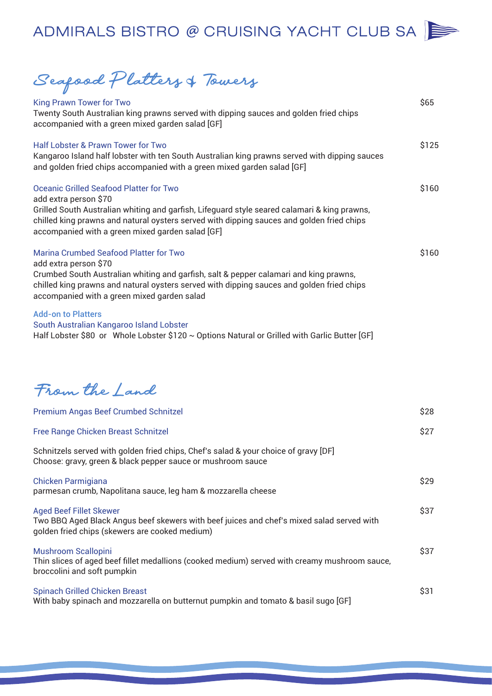*Seafood Platters* & *Towers*

| King Prawn Tower for Two<br>Twenty South Australian king prawns served with dipping sauces and golden fried chips<br>accompanied with a green mixed garden salad [GF]                                                                                                                                                    | \$65  |
|--------------------------------------------------------------------------------------------------------------------------------------------------------------------------------------------------------------------------------------------------------------------------------------------------------------------------|-------|
| <b>Half Lobster &amp; Prawn Tower for Two</b><br>Kangaroo Island half lobster with ten South Australian king prawns served with dipping sauces<br>and golden fried chips accompanied with a green mixed garden salad [GF]                                                                                                | \$125 |
| <b>Oceanic Grilled Seafood Platter for Two</b><br>add extra person \$70<br>Grilled South Australian whiting and garfish, Lifeguard style seared calamari & king prawns,<br>chilled king prawns and natural oysters served with dipping sauces and golden fried chips<br>accompanied with a green mixed garden salad [GF] | \$160 |
| <b>Marina Crumbed Seafood Platter for Two</b><br>add extra person \$70<br>Crumbed South Australian whiting and garfish, salt & pepper calamari and king prawns,<br>chilled king prawns and natural oysters served with dipping sauces and golden fried chips<br>accompanied with a green mixed garden salad              | \$160 |
| <b>Add-on to Platters</b><br>South Australian Kangaroo Island Lobster<br>Half Lobster \$80 or Whole Lobster \$120 $\sim$ Options Natural or Grilled with Garlic Butter [GF]                                                                                                                                              |       |

*From the Land*

| Premium Angas Beef Crumbed Schnitzel                                                                                                                                          | \$28 |
|-------------------------------------------------------------------------------------------------------------------------------------------------------------------------------|------|
| Free Range Chicken Breast Schnitzel                                                                                                                                           | \$27 |
| Schnitzels served with golden fried chips, Chef's salad & your choice of gravy [DF]<br>Choose: gravy, green & black pepper sauce or mushroom sauce                            |      |
| <b>Chicken Parmigiana</b><br>parmesan crumb, Napolitana sauce, leg ham & mozzarella cheese                                                                                    | \$29 |
| <b>Aged Beef Fillet Skewer</b><br>Two BBQ Aged Black Angus beef skewers with beef juices and chef's mixed salad served with<br>golden fried chips (skewers are cooked medium) | \$37 |
| <b>Mushroom Scallopini</b><br>Thin slices of aged beef fillet medallions (cooked medium) served with creamy mushroom sauce,<br>broccolini and soft pumpkin                    | \$37 |
| <b>Spinach Grilled Chicken Breast</b><br>With baby spinach and mozzarella on butternut pumpkin and tomato & basil sugo [GF]                                                   | \$31 |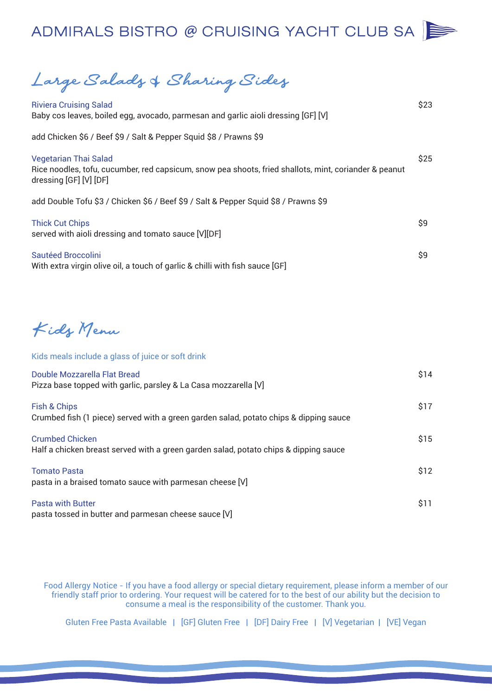*Large Salads* & *Sharing Sides*

| <b>Riviera Cruising Salad</b><br>Baby cos leaves, boiled egg, avocado, parmesan and garlic aioli dressing [GF] [V]                                              | \$23 |
|-----------------------------------------------------------------------------------------------------------------------------------------------------------------|------|
| add Chicken \$6 / Beef \$9 / Salt & Pepper Squid \$8 / Prawns \$9                                                                                               |      |
| <b>Vegetarian Thai Salad</b><br>Rice noodles, tofu, cucumber, red capsicum, snow pea shoots, fried shallots, mint, coriander & peanut<br>dressing [GF] [V] [DF] | \$25 |
| add Double Tofu \$3 / Chicken \$6 / Beef \$9 / Salt & Pepper Squid \$8 / Prawns \$9                                                                             |      |
| <b>Thick Cut Chips</b><br>served with aioli dressing and tomato sauce [V][DF]                                                                                   | \$9  |
| Sautéed Broccolini<br>With extra virgin olive oil, a touch of garlic & chilli with fish sauce [GF]                                                              | \$9  |
|                                                                                                                                                                 |      |
| Kidy Menu                                                                                                                                                       |      |
| Kids meals include a glass of juice or soft drink                                                                                                               |      |
| Double Mozzarella Flat Bread<br>Pizza base topped with garlic, parsley & La Casa mozzarella [V]                                                                 | \$14 |
| Fish & Chips<br>Crumbed fish (1 piece) served with a green garden salad, potato chips & dipping sauce                                                           | \$17 |
| <b>Crumbed Chicken</b><br>Half a chicken breast served with a green garden salad, potato chips & dipping sauce                                                  | \$15 |
| <b>Tomato Pasta</b><br>pasta in a braised tomato sauce with parmesan cheese [V]                                                                                 | \$12 |
| <b>Pasta with Butter</b>                                                                                                                                        | \$11 |

pasta tossed in butter and parmesan cheese sauce [V]

Food Allergy Notice - If you have a food allergy or special dietary requirement, please inform a member of our friendly staff prior to ordering. Your request will be catered for to the best of our ability but the decision to consume a meal is the responsibility of the customer. Thank you.

Gluten Free Pasta Available | [GF] Gluten Free | [DF] Dairy Free | [V] Vegetarian | [VE] Vegan